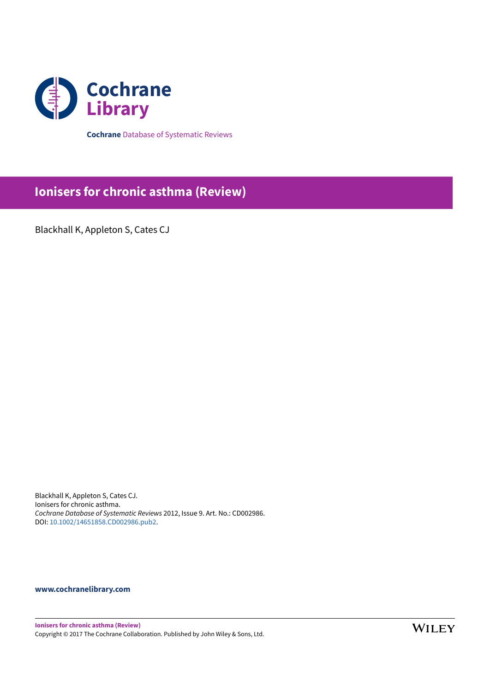

**Cochrane** Database of Systematic Reviews

# **Ionisers for chronic asthma (Review)**

Blackhall K, Appleton S, Cates CJ

Blackhall K, Appleton S, Cates CJ. Ionisers for chronic asthma. Cochrane Database of Systematic Reviews 2012, Issue 9. Art. No.: CD002986. DOI: 10.1002/14651858.CD002986.pub2.

## **www.cochranelibrary.com**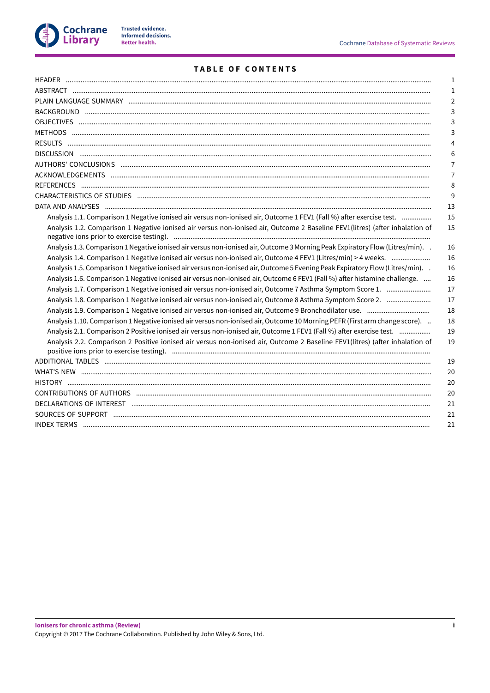

## **TABLE OF CONTENTS**

|                                                                                                                                | 1              |
|--------------------------------------------------------------------------------------------------------------------------------|----------------|
|                                                                                                                                | 1              |
|                                                                                                                                | $\overline{2}$ |
|                                                                                                                                | 3              |
|                                                                                                                                | 3              |
|                                                                                                                                | 3              |
|                                                                                                                                | $\overline{4}$ |
|                                                                                                                                | 6              |
|                                                                                                                                | $\overline{7}$ |
|                                                                                                                                | 7              |
|                                                                                                                                | 8              |
|                                                                                                                                | 9              |
|                                                                                                                                | 13             |
| Analysis 1.1. Comparison 1 Negative ionised air versus non-ionised air, Outcome 1 FEV1 (Fall %) after exercise test.           | 15             |
| Analysis 1.2. Comparison 1 Negative ionised air versus non-ionised air, Outcome 2 Baseline FEV1(litres) (after inhalation of   | 15             |
| Analysis 1.3. Comparison 1 Negative ionised air versus non-ionised air, Outcome 3 Morning Peak Expiratory Flow (Litres/min). . | 16             |
| Analysis 1.4. Comparison 1 Negative ionised air versus non-ionised air, Outcome 4 FEV1 (Litres/min) > 4 weeks.                 | 16             |
| Analysis 1.5. Comparison 1 Negative ionised air versus non-ionised air, Outcome 5 Evening Peak Expiratory Flow (Litres/min). . | 16             |
| Analysis 1.6. Comparison 1 Negative ionised air versus non-ionised air, Outcome 6 FEV1 (Fall %) after histamine challenge.     | 16             |
| Analysis 1.7. Comparison 1 Negative ionised air versus non-ionised air, Outcome 7 Asthma Symptom Score 1.                      | 17             |
| Analysis 1.8. Comparison 1 Negative ionised air versus non-ionised air, Outcome 8 Asthma Symptom Score 2.                      | 17             |
|                                                                                                                                | 18             |
| Analysis 1.10. Comparison 1 Negative ionised air versus non-ionised air, Outcome 10 Morning PEFR (First arm change score).     | 18             |
| Analysis 2.1. Comparison 2 Positive ionised air versus non-ionised air, Outcome 1 FEV1 (Fall %) after exercise test.           | 19             |
| Analysis 2.2. Comparison 2 Positive ionised air versus non-ionised air, Outcome 2 Baseline FEV1(litres) (after inhalation of   | 19             |
|                                                                                                                                | 19             |
|                                                                                                                                | 20             |
|                                                                                                                                | 20             |
|                                                                                                                                | 20             |
|                                                                                                                                | 21             |
|                                                                                                                                | 21             |
|                                                                                                                                | 21             |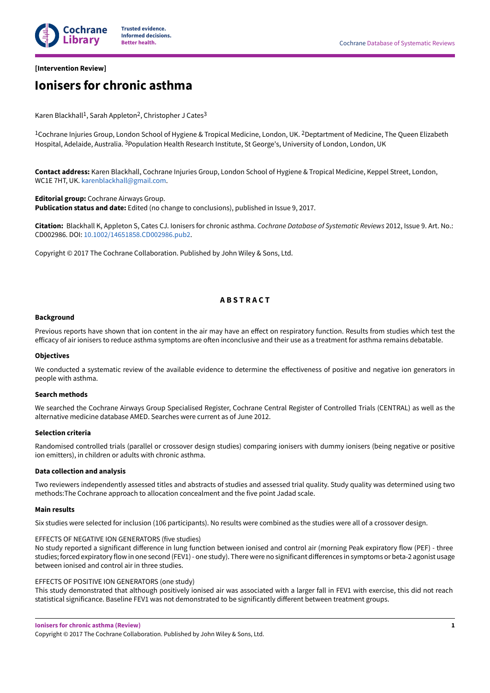

## **[Intervention Review]**

## **Ionisers for chronic asthma**

Karen Blackhall<sup>1</sup>, Sarah Appleton<sup>2</sup>, Christopher J Cates<sup>3</sup>

1Cochrane Injuries Group, London School of Hygiene & Tropical Medicine, London, UK. 2Deptartment of Medicine, The Queen Elizabeth Hospital, Adelaide, Australia. <sup>3</sup>Population Health Research Institute, St George's, University of London, London, UK

**Contact address:** Karen Blackhall, Cochrane Injuries Group, London School of Hygiene & Tropical Medicine, Keppel Street, London, WC1E 7HT, UK. karenblackhall@gmail.com.

**Editorial group:** Cochrane Airways Group. **Publication status and date:** Edited (no change to conclusions), published in Issue 9, 2017.

**Citation:** Blackhall K, Appleton S, Cates CJ. Ionisers for chronic asthma. Cochrane Database of Systematic Reviews 2012, Issue 9. Art. No.: CD002986. DOI: 10.1002/14651858.CD002986.pub2.

Copyright © 2017 The Cochrane Collaboration. Published by John Wiley & Sons, Ltd.

## **A B S T R A C T**

#### **Background**

Previous reports have shown that ion content in the air may have an effect on respiratory function. Results from studies which test the efficacy of air ionisers to reduce asthma symptoms are often inconclusive and their use as a treatment for asthma remains debatable.

#### **Objectives**

We conducted a systematic review of the available evidence to determine the effectiveness of positive and negative ion generators in people with asthma.

#### **Search methods**

We searched the Cochrane Airways Group Specialised Register, Cochrane Central Register of Controlled Trials (CENTRAL) as well as the alternative medicine database AMED. Searches were current as of June 2012.

#### **Selection criteria**

Randomised controlled trials (parallel or crossover design studies) comparing ionisers with dummy ionisers (being negative or positive ion emitters), in children or adults with chronic asthma.

#### **Data collection and analysis**

Two reviewers independently assessed titles and abstracts of studies and assessed trial quality. Study quality was determined using two methods:The Cochrane approach to allocation concealment and the five point Jadad scale.

#### **Main results**

Six studies were selected for inclusion (106 participants). No results were combined as the studies were all of a crossover design.

#### EFFECTS OF NEGATIVE ION GENERATORS (five studies)

No study reported a significant difference in lung function between ionised and control air (morning Peak expiratory flow (PEF) - three studies; forced expiratory flow in one second (FEV1) - one study). There were no significant differences in symptoms or beta-2 agonist usage between ionised and control air in three studies.

#### EFFECTS OF POSITIVE ION GENERATORS (one study)

This study demonstrated that although positively ionised air was associated with a larger fall in FEV1 with exercise, this did not reach statistical significance. Baseline FEV1 was not demonstrated to be significantly different between treatment groups.

**Ionisers for chronic asthma (Review)**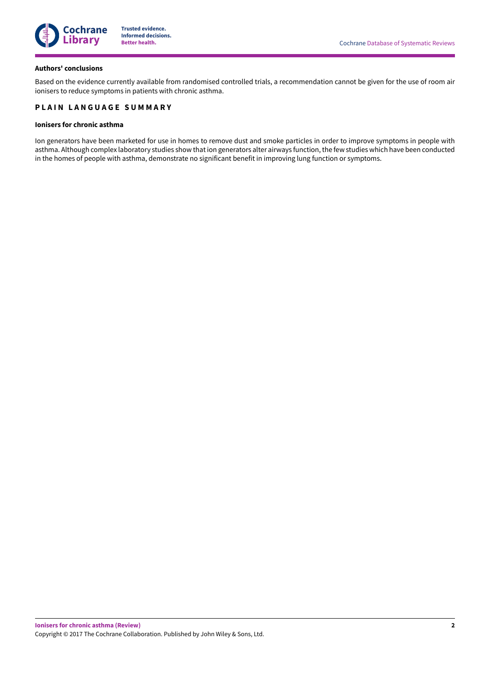

#### **Authors' conclusions**

Based on the evidence currently available from randomised controlled trials, a recommendation cannot be given for the use of room air ionisers to reduce symptoms in patients with chronic asthma.

## **PLAIN LANGUAGE SUMMARY**

#### **Ionisers for chronic asthma**

Ion generators have been marketed for use in homes to remove dust and smoke particles in order to improve symptoms in people with asthma. Although complex laboratory studies show that ion generators alter airways function, the few studies which have been conducted in the homes of people with asthma, demonstrate no significant benefit in improving lung function or symptoms.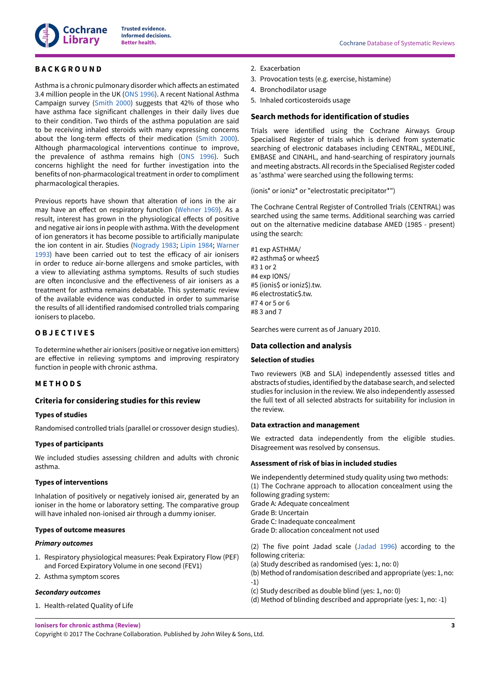

## **B A C K G R O U N D**

Asthma is a chronic pulmonary disorder which affects an estimated 3.4 million people in the UK (ONS 1996). A recent National Asthma Campaign survey (Smith 2000) suggests that 42% of those who have asthma face significant challenges in their daily lives due to their condition. Two thirds of the asthma population are said to be receiving inhaled steroids with many expressing concerns about the long-term effects of their medication (Smith 2000). Although pharmacological interventions continue to improve, the prevalence of asthma remains high (ONS 1996). Such concerns highlight the need for further investigation into the benefits of non-pharmacological treatment in order to compliment pharmacological therapies.

Previous reports have shown that alteration of ions in the air may have an effect on respiratory function (Wehner 1969). As a result, interest has grown in the physiological effects of positive and negative air ions in people with asthma. With the development of ion generators it has become possible to artificially manipulate the ion content in air. Studies (Nogrady 1983; Lipin 1984; Warner 1993) have been carried out to test the efficacy of air ionisers in order to reduce air-borne allergens and smoke particles, with a view to alleviating asthma symptoms. Results of such studies are often inconclusive and the effectiveness of air ionisers as a treatment for asthma remains debatable. This systematic review of the available evidence was conducted in order to summarise the results of all identified randomised controlled trials comparing ionisers to placebo.

## **O B J E C T I V E S**

Todeterminewhether airionisers (positive ornegative ionemitters) are effective in relieving symptoms and improving respiratory function in people with chronic asthma.

#### **M E T H O D S**

#### **Criteria for considering studies for this review**

#### **Types of studies**

Randomised controlled trials (parallel or crossover design studies).

#### **Types of participants**

We included studies assessing children and adults with chronic asthma.

#### **Types of interventions**

Inhalation of positively or negatively ionised air, generated by an ioniser in the home or laboratory setting. The comparative group will have inhaled non-ionised air through a dummy ioniser.

#### **Types of outcome measures**

#### **Primary outcomes**

- 1. Respiratory physiological measures: Peak Expiratory Flow (PEF) and Forced Expiratory Volume in one second (FEV1)
- 2. Asthma symptom scores

#### **Secondary outcomes**

1. Health-related Quality of Life

- 2. Exacerbation
- 3. Provocation tests (e.g. exercise, histamine)
- 4. Bronchodilator usage
- 5. Inhaled corticosteroids usage

## **Search methods for identification of studies**

Trials were identified using the Cochrane Airways Group Specialised Register of trials which is derived from systematic searching of electronic databases including CENTRAL, MEDLINE, EMBASE and CINAHL, and hand-searching of respiratory journals and meeting abstracts. All records in the Specialised Register coded as 'asthma' were searched using the following terms:

(ionis\* or ioniz\* or "electrostatic precipitator\*")

The Cochrane Central Register of Controlled Trials (CENTRAL) was searched using the same terms. Additional searching was carried out on the alternative medicine database AMED (1985 - present) using the search:

#1 exp ASTHMA/ #2 asthma\$ or wheez\$ #3 1 or 2 #4 exp IONS/ #5 (ionis\$ or ioniz\$).tw. #6 electrostatic\$.tw. #7 4 or 5 or 6 #8 3 and 7

Searches were current as of January 2010.

#### **Data collection and analysis**

#### **Selection of studies**

Two reviewers (KB and SLA) independently assessed titles and abstracts of studies, identified by the database search, and selected studies for inclusion in the review. We also independently assessed the full text of all selected abstracts for suitability for inclusion in the review.

#### **Data extraction and management**

We extracted data independently from the eligible studies. Disagreement was resolved by consensus.

#### **Assessment of risk of bias in included studies**

We independently determined study quality using two methods: (1) The Cochrane approach to allocation concealment using the following grading system: Grade A: Adequate concealment Grade B: Uncertain Grade C: Inadequate concealment Grade D: allocation concealment not used

(2) The five point Jadad scale (Jadad 1996) according to the following criteria:

- (a) Study described as randomised (yes: 1, no: 0)
- (b) Method ofrandomisation described and appropriate (yes: 1, no: -1)
- (c) Study described as double blind (yes: 1, no: 0)
- (d) Method of blinding described and appropriate (yes: 1, no: -1)

**Ionisers for chronic asthma (Review)**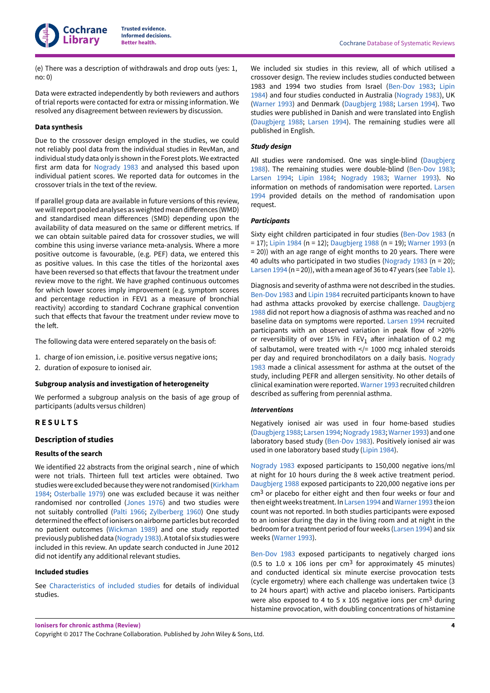**Cochrane Library**

**Trusted evidence. Informed decisions.**

(e) There was a description of withdrawals and drop outs (yes: 1, no: 0)

Data were extracted independently by both reviewers and authors of trial reports were contacted for extra or missing information. We resolved any disagreement between reviewers by discussion.

#### **Data synthesis**

Due to the crossover design employed in the studies, we could not reliably pool data from the individual studies in RevMan, and individual study data only is shown in the Forest plots.We extracted first arm data for Nogrady 1983 and analysed this based upon individual patient scores. We reported data for outcomes in the crossover trials in the text of the review.

If parallel group data are available in future versions of this review, we will report pooled analyses as weighted mean differences (WMD) and standardised mean differences (SMD) depending upon the availability of data measured on the same or different metrics. If we can obtain suitable paired data for crossover studies, we will combine this using inverse variance meta-analysis. Where a more positive outcome is favourable, (e.g. PEF) data, we entered this as positive values. In this case the titles of the horizontal axes have been reversed so that effects that favour the treatment under review move to the right. We have graphed continuous outcomes for which lower scores imply improvement (e.g. symptom scores and percentage reduction in FEV1 as a measure of bronchial reactivity) according to standard Cochrane graphical convention such that effects that favour the treatment under review move to the left.

The following data were entered separately on the basis of:

- 1. charge of ion emission, i.e. positive versus negative ions;
- 2. duration of exposure to ionised air.

#### **Subgroup analysis and investigation of heterogeneity**

We performed a subgroup analysis on the basis of age group of participants (adults versus children)

## **R E S U L T S**

## **Description of studies**

#### **Results of the search**

We identified 22 abstracts from the original search , nine of which were not trials. Thirteen full text articles were obtained. Two studies were excluded because they were not randomised (Kirkham 1984; Osterballe 1979) one was excluded because it was neither randomised nor controlled (Jones 1976) and two studies were not suitably controlled (Palti 1966; Zylberberg 1960) One study determined the effect of ionisers on airborne particles but recorded no patient outcomes (Wickman 1989) and one study reported previouslypublisheddata (Nogrady 1983).Atotalof six studieswere included in this review. An update search conducted in June 2012 did not identify any additional relevant studies.

#### **Included studies**

See Characteristics of included studies for details of individual studies.

We included six studies in this review, all of which utilised a crossover design. The review includes studies conducted between 1983 and 1994 two studies from Israel (Ben-Dov 1983; Lipin 1984) and four studies conducted in Australia (Nogrady 1983), UK (Warner 1993) and Denmark (Daugbjerg 1988; Larsen 1994). Two studies were published in Danish and were translated into English (Daugbjerg 1988; Larsen 1994). The remaining studies were all published in English.

#### **Study design**

All studies were randomised. One was single-blind (Daugbjerg 1988). The remaining studies were double-blind (Ben-Dov 1983; Larsen 1994; Lipin 1984; Nogrady 1983; Warner 1993). No information on methods of randomisation were reported. Larsen 1994 provided details on the method of randomisation upon request.

#### **Participants**

Sixty eight children participated in four studies (Ben-Dov 1983 (n = 17); Lipin 1984 (n = 12); Daugbjerg 1988 (n = 19); Warner 1993 (n = 20)) with an age range of eight months to 20 years. There were 40 adults who participated in two studies (Nogrady 1983 (n = 20); Larsen 1994 (n = 20)), with a mean age of 36 to 47 years (see Table 1).

Diagnosis and severity of asthma were not described in the studies. Ben-Dov 1983 and Lipin 1984 recruited participants known to have had asthma attacks provoked by exercise challenge. Daugbjerg 1988 did not report how a diagnosis of asthma was reached and no baseline data on symptoms were reported. Larsen 1994 recruited participants with an observed variation in peak flow of >20% or reversibility of over 15% in FEV<sub>1</sub> after inhalation of 0.2 mg of salbutamol, were treated with  $\lt/= 1000$  mcg inhaled steroids per day and required bronchodilators on a daily basis. Nogrady 1983 made a clinical assessment for asthma at the outset of the study, including PEFR and allergen sensitivity. No other details of clinical examination were reported. Warner 1993 recruited children described as suffering from perennial asthma.

#### **Interventions**

Negatively ionised air was used in four home-based studies (Daugbjerg 1988; Larsen 1994; Nogrady 1983; Warner 1993) and one laboratory based study (Ben-Dov 1983). Positively ionised air was used in one laboratory based study (Lipin 1984).

Nogrady 1983 exposed participants to 150,000 negative ions/ml at night for 10 hours during the 8 week active treatment period. Daugbjerg 1988 exposed participants to 220,000 negative ions per cm3 or placebo for either eight and then four weeks or four and then eight weeks treatment. In Larsen 1994 and Warner 1993 the ion count was not reported. In both studies participants were exposed to an ioniser during the day in the living room and at night in the bedroom for a treatment period of four weeks (Larsen 1994) and six weeks (Warner 1993).

Ben-Dov 1983 exposed participants to negatively charged ions (0.5 to 1.0  $\times$  106 ions per cm<sup>3</sup> for approximately 45 minutes) and conducted identical six minute exercise provocation tests (cycle ergometry) where each challenge was undertaken twice (3 to 24 hours apart) with active and placebo ionisers. Participants were also exposed to 4 to 5 x 105 negative ions per cm3 during histamine provocation, with doubling concentrations of histamine

**Ionisers for chronic asthma (Review)**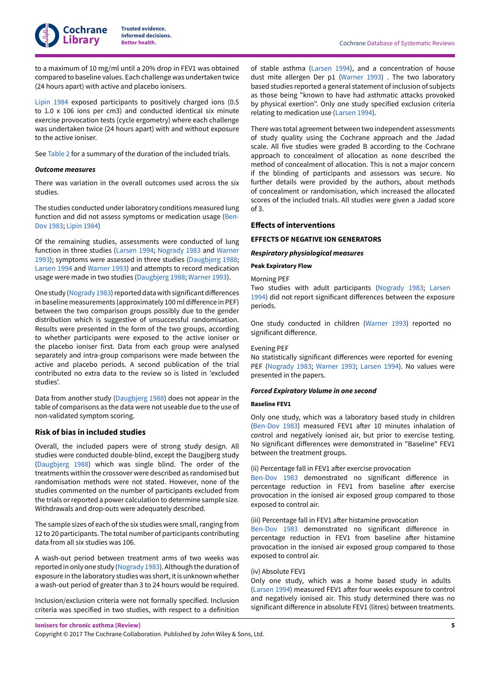

to a maximum of 10 mg/ml until a 20% drop in FEV1 was obtained compared to baseline values. Each challenge was undertaken twice (24 hours apart) with active and placebo ionisers.

Lipin 1984 exposed participants to positively charged ions (0.5 to 1.0 x 106 ions per cm3) and conducted identical six minute exercise provocation tests (cycle ergometry) where each challenge was undertaken twice (24 hours apart) with and without exposure to the active ioniser.

See Table 2 for a summary of the duration of the included trials.

#### **Outcome measures**

There was variation in the overall outcomes used across the six studies.

The studies conducted under laboratory conditions measured lung function and did not assess symptoms or medication usage (Ben-Dov 1983; Lipin 1984)

Of the remaining studies, assessments were conducted of lung function in three studies (Larsen 1994; Nogrady 1983 and Warner 1993); symptoms were assessed in three studies (Daugbjerg 1988; Larsen 1994 and Warner 1993) and attempts to record medication usage were made in two studies (Daugbjerg 1988; Warner 1993).

One study (Nogrady 1983) reported data with significant differences in baseline measurements (approximately 100 ml difference in PEF) between the two comparison groups possibly due to the gender distribution which is suggestive of unsuccessful randomisation. Results were presented in the form of the two groups, according to whether participants were exposed to the active ioniser or the placebo ioniser first. Data from each group were analysed separately and intra-group comparisons were made between the active and placebo periods. A second publication of the trial contributed no extra data to the review so is listed in 'excluded studies'.

Data from another study (Daugbjerg 1988) does not appear in the table of comparisons as the data were not useable due to the use of non-validated symptom scoring.

#### **Risk of bias in included studies**

Overall, the included papers were of strong study design. All studies were conducted double-blind, except the Daugjberg study (Daugbjerg 1988) which was single blind. The order of the treatments within the crossover were described as randomised but randomisation methods were not stated. However, none of the studies commented on the number of participants excluded from the trials or reported a power calculation to determine sample size. Withdrawals and drop-outs were adequately described.

The sample sizes of each of the six studies were small, ranging from 12 to 20 participants. The total number of participants contributing data from all six studies was 106.

A wash-out period between treatment arms of two weeks was reported in only one study (Nogrady 1983). Although the duration of exposure in the laboratory studies was short, it is unknown whether a wash-out period of greater than 3 to 24 hours would be required.

Inclusion/exclusion criteria were not formally specified. Inclusion criteria was specified in two studies, with respect to a definition

of stable asthma (Larsen 1994), and a concentration of house dust mite allergen Der p1 (Warner 1993) . The two laboratory based studies reported a general statement of inclusion of subjects as those being "known to have had asthmatic attacks provoked by physical exertion". Only one study specified exclusion criteria relating to medication use (Larsen 1994).

There was total agreement between two independent assessments of study quality using the Cochrane approach and the Jadad scale. All five studies were graded B according to the Cochrane approach to concealment of allocation as none described the method of concealment of allocation. This is not a major concern if the blinding of participants and assessors was secure. No further details were provided by the authors, about methods of concealment or randomisation, which increased the allocated scores of the included trials. All studies were given a Jadad score of 3.

#### **Effects of interventions**

#### **EFFECTS OF NEGATIVE ION GENERATORS**

#### **Respiratory physiological measures**

#### **Peak Expiratory Flow**

Morning PEF

Two studies with adult participants (Nogrady 1983; Larsen 1994) did not report significant differences between the exposure periods.

One study conducted in children (Warner 1993) reported no significant difference.

#### Evening PEF

No statistically significant differences were reported for evening PEF (Nogrady 1983; Warner 1993; Larsen 1994). No values were presented in the papers.

#### **Forced Expiratory Volume in one second**

#### **Baseline FEV1**

Only one study, which was a laboratory based study in children (Ben-Dov 1983) measured FEV1 after 10 minutes inhalation of control and negatively ionised air, but prior to exercise testing. No significant differences were demonstrated in "Baseline" FEV1 between the treatment groups.

#### (ii) Percentage fall in FEV1 after exercise provocation

Ben-Dov 1983 demonstrated no significant difference in percentage reduction in FEV1 from baseline after exercise provocation in the ionised air exposed group compared to those exposed to control air.

(iii) Percentage fall in FEV1 after histamine provocation

Ben-Dov 1983 demonstrated no significant difference in percentage reduction in FEV1 from baseline after histamine provocation in the ionised air exposed group compared to those exposed to control air.

#### (iv) Absolute FEV1

Only one study, which was a home based study in adults (Larsen 1994) measured FEV1 after four weeks exposure to control and negatively ionised air. This study determined there was no significant difference in absolute FEV1 (litres) between treatments.

**Ionisers for chronic asthma (Review)**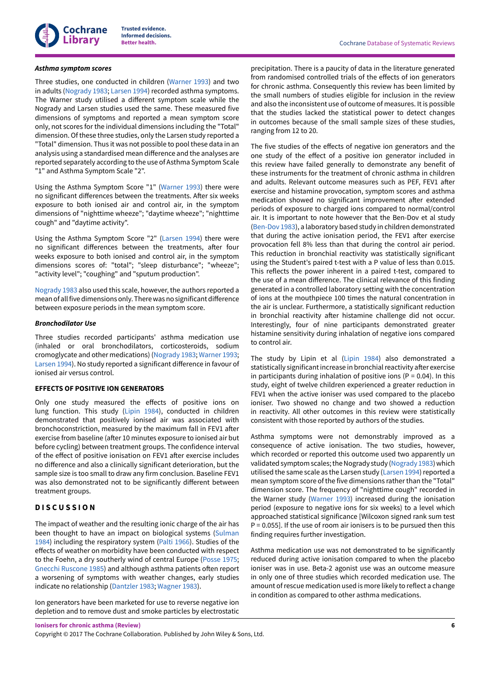

#### **Asthma symptom scores**

Three studies, one conducted in children (Warner 1993) and two in adults (Nogrady 1983; Larsen 1994) recorded asthma symptoms. The Warner study utilised a different symptom scale while the Nogrady and Larsen studies used the same. These measured five dimensions of symptoms and reported a mean symptom score only, not scores for the individual dimensions including the "Total" dimension. Of these three studies, only the Larsen study reported a "Total" dimension. Thus it was not possible to pool these data in an analysis using a standardised mean difference and the analyses are reported separately according to the use of Asthma Symptom Scale "1" and Asthma Symptom Scale "2".

Using the Asthma Symptom Score "1" (Warner 1993) there were no significant differences between the treatments. After six weeks exposure to both ionised air and control air, in the symptom dimensions of "nighttime wheeze"; "daytime wheeze"; "nighttime cough" and "daytime activity".

Using the Asthma Symptom Score "2" (Larsen 1994) there were no significant differences between the treatments, after four weeks exposure to both ionised and control air, in the symptom dimensions scores of: "total"; "sleep disturbance"; "wheeze"; "activity level"; "coughing" and "sputum production".

Nogrady 1983 also used this scale, however, the authors reported a mean of all five dimensions only. There was no significant difference between exposure periods in the mean symptom score.

#### **Bronchodilator Use**

Three studies recorded participants' asthma medication use (inhaled or oral bronchodilators, corticosteroids, sodium cromoglycate and other medications) (Nogrady 1983; Warner 1993; Larsen 1994). No study reported a significant difference in favour of ionised air versus control.

#### **EFFECTS OF POSITIVE ION GENERATORS**

Only one study measured the effects of positive ions on lung function. This study (Lipin 1984), conducted in children demonstrated that positively ionised air was associated with bronchoconstriction, measured by the maximum fall in FEV1 after exercise from baseline (after 10 minutes exposure to ionised air but before cycling) between treatment groups. The confidence interval of the effect of positive ionisation on FEV1 after exercise includes no difference and also a clinically significant deterioration, but the sample size is too small to draw any firm conclusion. Baseline FEV1 was also demonstrated not to be significantly different between treatment groups.

#### **D I S C U S S I O N**

The impact of weather and the resulting ionic charge of the air has been thought to have an impact on biological systems (Sulman 1984) including the respiratory system (Palti 1966). Studies of the effects of weather on morbidity have been conducted with respect to the Foehn, a dry southerly wind of central Europe (Posse 1975; Gnecchi Ruscone 1985) and although asthma patients often report a worsening of symptoms with weather changes, early studies indicate no relationship (Dantzler 1983; Wagner 1983).

Ion generators have been marketed for use to reverse negative ion depletion and to remove dust and smoke particles by electrostatic

precipitation. There is a paucity of data in the literature generated from randomised controlled trials of the effects of ion generators for chronic asthma. Consequently this review has been limited by the small numbers of studies eligible for inclusion in the review and also the inconsistent use of outcome of measures. It is possible that the studies lacked the statistical power to detect changes in outcomes because of the small sample sizes of these studies, ranging from 12 to 20.

The five studies of the effects of negative ion generators and the one study of the effect of a positive ion generator included in this review have failed generally to demonstrate any benefit of these instruments for the treatment of chronic asthma in children and adults. Relevant outcome measures such as PEF, FEV1 after exercise and histamine provocation, symptom scores and asthma medication showed no significant improvement after extended periods of exposure to charged ions compared to normal/control air. It is important to note however that the Ben-Dov et al study (Ben-Dov 1983), a laboratory based study in children demonstrated that during the active ionisation period, the FEV1 after exercise provocation fell 8% less than that during the control air period. This reduction in bronchial reactivity was statistically significant using the Student's paired t-test with a P value of less than 0.015. This reflects the power inherent in a paired t-test, compared to the use of a mean difference. The clinical relevance of this finding generated in a controlled laboratory setting with the concentration of ions at the mouthpiece 100 times the natural concentration in the air is unclear. Furthermore, a statistically significant reduction in bronchial reactivity after histamine challenge did not occur. Interestingly, four of nine participants demonstrated greater histamine sensitivity during inhalation of negative ions compared to control air.

The study by Lipin et al (Lipin 1984) also demonstrated a statistically significant increase in bronchial reactivity after exercise in participants during inhalation of positive ions ( $P = 0.04$ ). In this study, eight of twelve children experienced a greater reduction in FEV1 when the active ioniser was used compared to the placebo ioniser. Two showed no change and two showed a reduction in reactivity. All other outcomes in this review were statistically consistent with those reported by authors of the studies.

Asthma symptoms were not demonstrably improved as a consequence of active ionisation. The two studies, however, which recorded or reported this outcome used two apparently un validated symptom scales; the Nogrady study (Nogrady 1983) which utilised the same scale as the Larsen study (Larsen 1994) reported a mean symptom score of the five dimensions rather than the "Total" dimension score. The frequency of "nighttime cough" recorded in the Warner study (Warner 1993) increased during the ionisation period (exposure to negative ions for six weeks) to a level which approached statistical significance [Wilcoxon signed rank sum test  $P = 0.055$ ]. If the use of room air ionisers is to be pursued then this finding requires further investigation.

Asthma medication use was not demonstrated to be significantly reduced during active ionisation compared to when the placebo ioniser was in use. Beta-2 agonist use was an outcome measure in only one of three studies which recorded medication use. The amount of rescue medication used is more likely to reflect a change in condition as compared to other asthma medications.

**Ionisers for chronic asthma (Review)**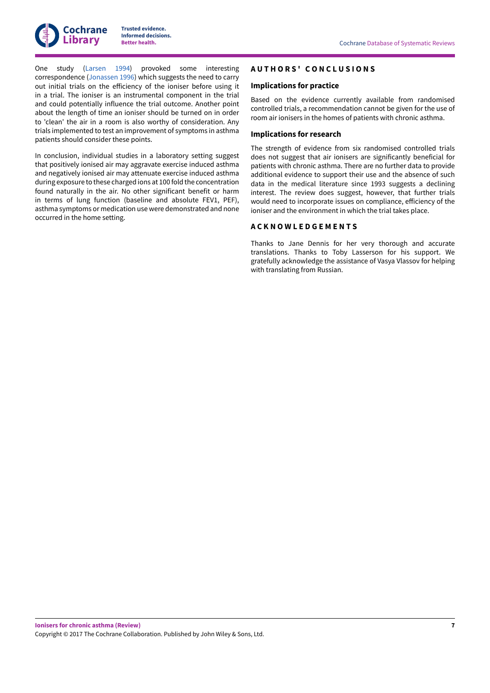One study (Larsen 1994) provoked some interesting correspondence (Jonassen 1996) which suggests the need to carry out initial trials on the efficiency of the ioniser before using it in a trial. The ioniser is an instrumental component in the trial and could potentially influence the trial outcome. Another point about the length of time an ioniser should be turned on in order to 'clean' the air in a room is also worthy of consideration. Any trials implemented to test an improvement of symptoms in asthma patients should consider these points.

In conclusion, individual studies in a laboratory setting suggest that positively ionised air may aggravate exercise induced asthma and negatively ionised air may attenuate exercise induced asthma during exposure to these charged ions at 100 fold the concentration found naturally in the air. No other significant benefit or harm in terms of lung function (baseline and absolute FEV1, PEF), asthma symptoms or medication use were demonstrated and none occurred in the home setting.

## **A U T H O R S ' ꢀ C O N C L U S I O N S**

## **Implications for practice**

Based on the evidence currently available from randomised controlled trials, a recommendation cannot be given for the use of room air ionisers in the homes of patients with chronic asthma.

#### **Implications for research**

The strength of evidence from six randomised controlled trials does not suggest that air ionisers are significantly beneficial for patients with chronic asthma. There are no further data to provide additional evidence to support their use and the absence of such data in the medical literature since 1993 suggests a declining interest. The review does suggest, however, that further trials would need to incorporate issues on compliance, efficiency of the ioniser and the environment in which the trial takes place.

## **A C K N O W L E D G E M E N T S**

Thanks to Jane Dennis for her very thorough and accurate translations. Thanks to Toby Lasserson for his support. We gratefully acknowledge the assistance of Vasya Vlassov for helping with translating from Russian.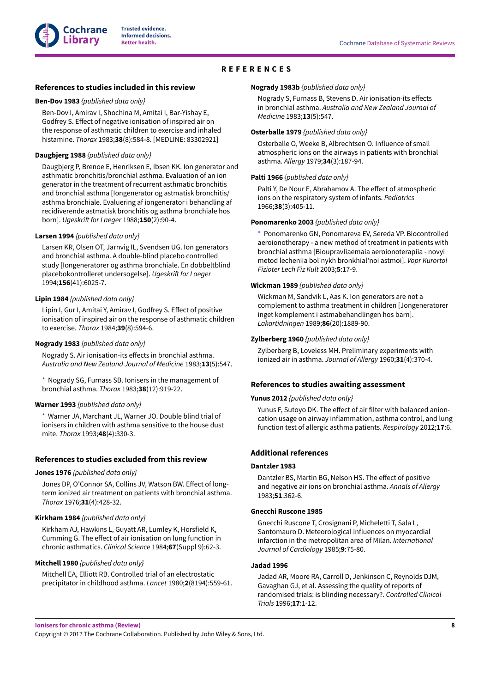## **R E F E R E N C E S**

#### **References to studies included in this review**

#### **Ben-Dov 1983** {published data only}

Ben-Dov I, Amirav I, Shochina M, Amitai I, Bar-Yishay E, Godfrey S. Effect of negative ionisation of inspired air on the response of asthmatic children to exercise and inhaled histamine. Thorax 1983;**38**(8):584-8. [MEDLINE: 83302921]

#### **Daugbjerg 1988** {published data only}

Daugbjerg P, Brenoe E, Henriksen E, Ibsen KK. Ion generator and asthmatic bronchitis/bronchial asthma. Evaluation of an ion generator in the treatment of recurrent asthmatic bronchitis and bronchial asthma [Iongenerator og astmatisk bronchitis/ asthma bronchiale. Evaluering af iongenerator i behandling af recidiverende astmatisk bronchitis og asthma bronchiale hos born]. Ugeskrift for Laeger 1988;150(2):90-4.

#### **Larsen 1994** {published data only}

Larsen KR, Olsen OT, Jarnvig IL, Svendsen UG. Ion generators and bronchial asthma. A double-blind placebo controlled study [Iongeneratorer og asthma bronchiale. En dobbeltblind placebokontrolleret undersogelse]. Ugeskrift for Laeger 1994;**156**(41):6025-7.

#### **Lipin 1984** {published data only}

Lipin I, Gur I, Amitai Y, Amirav I, Godfrey S. Effect of positive ionisation of inspired air on the response of asthmatic children to exercise. Thorax 1984;**39**(8):594-6.

#### **Nogrady 1983** {published data only}

Nogrady S. Air ionisation-its effects in bronchial asthma. Australia and New Zealand Journal of Medicine 1983;**13**(5):547.

Nogrady SG, Furnass SB. Ionisers in the management of bronchial asthma. Thorax 1983;**38**(12):919-22.

#### **Warner 1993** {published data only}

Warner JA, Marchant JL, Warner JO, Double blind trial of ionisers in children with asthma sensitive to the house dust mite. Thorax 1993;**48**(4):330-3.

#### **References to studies excluded from this review**

#### **Jones 1976** {published data only}

Jones DP, O'Connor SA, Collins JV, Watson BW. Effect of longterm ionized air treatment on patients with bronchial asthma. Thorax 1976;**31**(4):428-32.

#### **Kirkham 1984** {published data only}

Kirkham AJ, Hawkins L, Guyatt AR, Lumley K, Horsfield K, Cumming G. The effect of air ionisation on lung function in chronic asthmatics. Clinical Science 1984;**67**(Suppl 9):62-3.

#### **Mitchell 1980** {published data only}

Mitchell EA, Elliott RB. Controlled trial of an electrostatic precipitator in childhood asthma. Lancet 1980;**2**(8194):559-61.

#### **Nogrady 1983b** {published data only}

Nogrady S, Furnass B, Stevens D. Air ionisation-its effects in bronchial asthma. Australia and New Zealand Journal of Medicine 1983;**13**(5):547.

#### **Osterballe 1979** {published data only}

Osterballe O, Weeke B, Albrechtsen O. Influence of small atmospheric ions on the airways in patients with bronchial asthma. Allergy 1979;**34**(3):187-94.

#### **Palti 1966** {published data only}

Palti Y, De Nour E, Abrahamov A. The effect of atmospheric ions on the respiratory system of infants. Pediatrics 1966;**38**(3):405-11.

#### **Ponomarenko 2003** {published data only}

\*ꢀ Ponomarenko GN, Ponomareva EV, Sereda VP. Biocontrolled aeroionotherapy - a new method of treatment in patients with bronchial asthma [Bioupravliaemaia aeroionoterapiia - novyi metod lecheniia bol'nykh bronkhial'noi astmoi]. Vopr Kurortol Fizioter Lech Fiz Kult 2003;**5**:17-9.

#### **Wickman 1989** {published data only}

Wickman M, Sandvik L, Aas K. Ion generators are not a complement to asthma treatment in children [Jongeneratorer inget komplement i astmabehandlingen hos barn]. Lakartidningen 1989;**86**(20):1889-90.

#### **Zylberberg 1960** {published data only}

Zylberberg B, Loveless MH. Preliminary experiments with ionized air in asthma. Journal of Allergy 1960;**31**(4):370-4.

#### **References to studies awaiting assessment**

#### **Yunus 2012** {published data only}

Yunus F, Sutoyo DK. The effect of air filter with balanced anioncation usage on airway inflammation, asthma control, and lung function test of allergic asthma patients. Respirology 2012;**17**:6.

#### **Additional references**

#### **Dantzler 1983**

Dantzler BS, Martin BG, Nelson HS. The effect of positive and negative air ions on bronchial asthma. Annals of Allergy 1983;**51**:362-6.

#### **Gnecchi Ruscone 1985**

Gnecchi Ruscone T, Crosignani P, Micheletti T, Sala L, Santomauro D. Meteorological influences on myocardial infarction in the metropolitan area of Milan. International Journal of Cardiology 1985;**9**:75-80.

#### **Jadad 1996**

Jadad AR, Moore RA, Carroll D, Jenkinson C, Reynolds DJM, Gavaghan GJ, et al. Assessing the quality of reports of randomised trials: is blinding necessary?. Controlled Clinical Trials 1996;**17**:1-12.

**Ionisers for chronic asthma (Review)**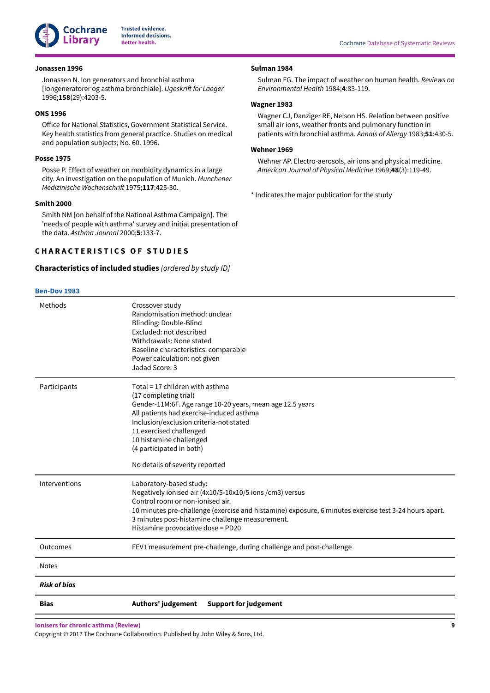

#### **Jonassen 1996**

Jonassen N. Ion generators and bronchial asthma [Iongeneratorer og asthma bronchiale]. Ugeskrift for Laeger 1996;**158**(29):4203-5.

## **ONS 1996**

Office for National Statistics, Government Statistical Service. Key health statistics from general practice. Studies on medical and population subjects; No. 60. 1996.

#### **Posse 1975**

Posse P. Effect of weather on morbidity dynamics in a large city. An investigation on the population of Munich. Munchener Medizinische Wochenschrift 1975;117:425-30.

#### **Smith 2000**

Smith NM [on behalf of the National Asthma Campaign]. The 'needs of people with asthma' survey and initial presentation of the data. Asthma Journal 2000;**5**:133-7.

#### **CHARACTERISTICS OF STUDIES**

#### **Characteristics of included studies** [ordered by study ID]

#### **Ben-Dov 1983**

**Sulman 1984**

Sulman FG. The impact of weather on human health. Reviews on Environmental Health 1984;**4**:83-119.

#### **Wagner 1983**

Wagner CJ, Danziger RE, Nelson HS. Relation between positive small air ions, weather fronts and pulmonary function in patients with bronchial asthma. Annals of Allergy 1983;**51**:430-5.

#### **Wehner 1969**

Wehner AP. Electro-aerosols, air ions and physical medicine. American Journal of Physical Medicine 1969;**48**(3):119-49.

\* Indicates the major publication for the study

| Methods             | Crossover study<br>Randomisation method: unclear                                                      |
|---------------------|-------------------------------------------------------------------------------------------------------|
|                     | Blinding: Double-Blind                                                                                |
|                     | Excluded: not described                                                                               |
|                     | Withdrawals: None stated                                                                              |
|                     | Baseline characteristics: comparable                                                                  |
|                     | Power calculation: not given                                                                          |
|                     | Jadad Score: 3                                                                                        |
| Participants        | Total = 17 children with asthma                                                                       |
|                     | (17 completing trial)                                                                                 |
|                     | Gender-11M:6F. Age range 10-20 years, mean age 12.5 years                                             |
|                     | All patients had exercise-induced asthma                                                              |
|                     | Inclusion/exclusion criteria-not stated                                                               |
|                     | 11 exercised challenged                                                                               |
|                     | 10 histamine challenged<br>(4 participated in both)                                                   |
|                     |                                                                                                       |
|                     | No details of severity reported                                                                       |
| Interventions       | Laboratory-based study:                                                                               |
|                     | Negatively ionised air (4x10/5-10x10/5 ions /cm3) versus                                              |
|                     | Control room or non-ionised air.                                                                      |
|                     | 10 minutes pre-challenge (exercise and histamine) exposure, 6 minutes exercise test 3-24 hours apart. |
|                     | 3 minutes post-histamine challenge measurement.                                                       |
|                     | Histamine provocative dose = PD20                                                                     |
| Outcomes            | FEV1 measurement pre-challenge, during challenge and post-challenge                                   |
| Notes               |                                                                                                       |
| <b>Risk of bias</b> |                                                                                                       |
| <b>Bias</b>         | Authors' judgement<br><b>Support for judgement</b>                                                    |

**Ionisers for chronic asthma (Review)**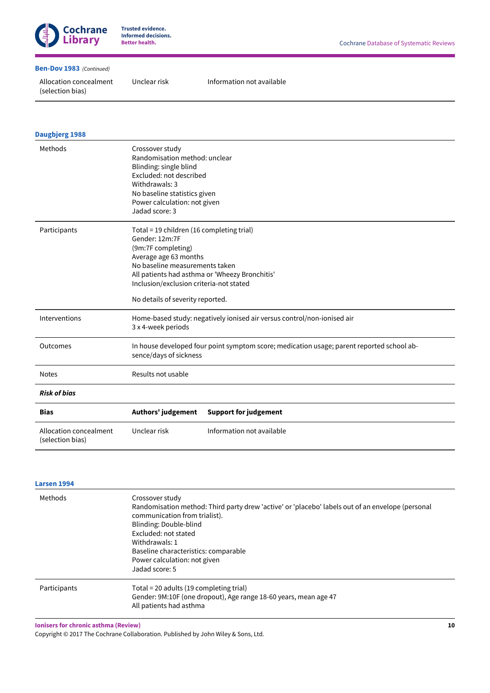

#### **Ben-Dov 1983** (Continued)

Allocation concealment (selection bias)

Unclear risk Information not available

| <b>Daugbjerg 1988</b>                      |                                                                                                                                                                                                                             |                                                                                           |
|--------------------------------------------|-----------------------------------------------------------------------------------------------------------------------------------------------------------------------------------------------------------------------------|-------------------------------------------------------------------------------------------|
| Methods                                    | Crossover study<br>Randomisation method: unclear<br>Blinding: single blind<br>Excluded: not described<br>Withdrawals: 3<br>No baseline statistics given<br>Power calculation: not given<br>Jadad score: 3                   |                                                                                           |
| Participants                               | Total = 19 children (16 completing trial)<br>Gender: 12m:7F<br>(9m:7F completing)<br>Average age 63 months<br>No baseline measurements taken<br>Inclusion/exclusion criteria-not stated<br>No details of severity reported. | All patients had asthma or 'Wheezy Bronchitis'                                            |
| Interventions                              | 3 x 4-week periods                                                                                                                                                                                                          | Home-based study: negatively ionised air versus control/non-ionised air                   |
| Outcomes                                   | sence/days of sickness                                                                                                                                                                                                      | In house developed four point symptom score; medication usage; parent reported school ab- |
| <b>Notes</b>                               | Results not usable                                                                                                                                                                                                          |                                                                                           |
| <b>Risk of bias</b>                        |                                                                                                                                                                                                                             |                                                                                           |
| <b>Bias</b>                                | Authors' judgement                                                                                                                                                                                                          | <b>Support for judgement</b>                                                              |
| Allocation concealment<br>(selection bias) | Unclear risk                                                                                                                                                                                                                | Information not available                                                                 |

## **Larsen 1994**

| Methods      | Crossover study<br>Randomisation method: Third party drew 'active' or 'placebo' labels out of an envelope (personal<br>communication from trialist).<br>Blinding: Double-blind<br>Excluded: not stated<br>Withdrawals: 1<br>Baseline characteristics: comparable<br>Power calculation: not given<br>Jadad score: 5 |
|--------------|--------------------------------------------------------------------------------------------------------------------------------------------------------------------------------------------------------------------------------------------------------------------------------------------------------------------|
| Participants | Total = 20 adults (19 completing trial)<br>Gender: 9M:10F (one dropout), Age range 18-60 years, mean age 47<br>All patients had asthma                                                                                                                                                                             |

**Ionisers for chronic asthma (Review)**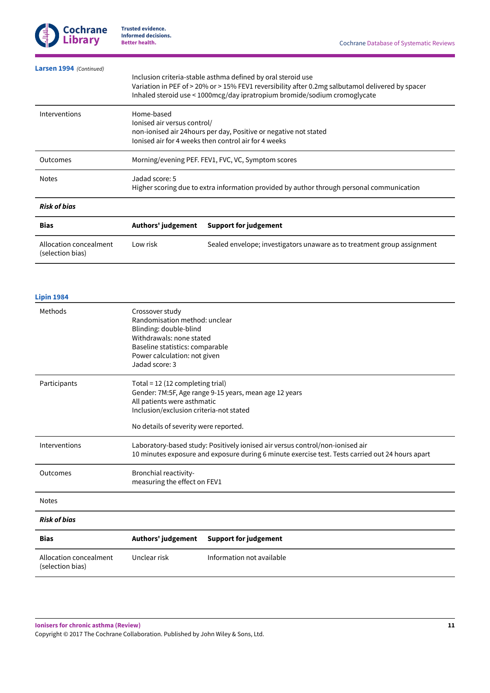

| Larsen 1994 (Continued)                    |                                                                                                                                                                        |                                                                                                                                                                                                                                               |  |  |
|--------------------------------------------|------------------------------------------------------------------------------------------------------------------------------------------------------------------------|-----------------------------------------------------------------------------------------------------------------------------------------------------------------------------------------------------------------------------------------------|--|--|
|                                            |                                                                                                                                                                        | Inclusion criteria-stable asthma defined by oral steroid use<br>Variation in PEF of > 20% or > 15% FEV1 reversibility after 0.2mg salbutamol delivered by spacer<br>Inhaled steroid use < 1000mcg/day ipratropium bromide/sodium cromoglycate |  |  |
| Interventions                              | Home-based<br>lonised air versus control/<br>non-ionised air 24 hours per day, Positive or negative not stated<br>lonised air for 4 weeks then control air for 4 weeks |                                                                                                                                                                                                                                               |  |  |
| Outcomes                                   | Morning/evening PEF. FEV1, FVC, VC, Symptom scores                                                                                                                     |                                                                                                                                                                                                                                               |  |  |
| <b>Notes</b>                               | Jadad score: 5<br>Higher scoring due to extra information provided by author through personal communication                                                            |                                                                                                                                                                                                                                               |  |  |
| <b>Risk of bias</b>                        |                                                                                                                                                                        |                                                                                                                                                                                                                                               |  |  |
| <b>Bias</b>                                | Authors' judgement                                                                                                                                                     | <b>Support for judgement</b>                                                                                                                                                                                                                  |  |  |
| Allocation concealment<br>(selection bias) | Low risk                                                                                                                                                               | Sealed envelope; investigators unaware as to treatment group assignment                                                                                                                                                                       |  |  |

## **Lipin 1984**

| Methods                                    | Crossover study<br>Randomisation method: unclear<br>Blinding: double-blind<br>Withdrawals: none stated<br>Baseline statistics: comparable<br>Power calculation: not given<br>Jadad score: 3 |                                                        |  |  |  |
|--------------------------------------------|---------------------------------------------------------------------------------------------------------------------------------------------------------------------------------------------|--------------------------------------------------------|--|--|--|
| Participants                               | Total = 12 (12 completing trial)<br>All patients were asthmatic<br>Inclusion/exclusion criteria-not stated<br>No details of severity were reported.                                         | Gender: 7M:5F, Age range 9-15 years, mean age 12 years |  |  |  |
| Interventions                              | Laboratory-based study: Positively ionised air versus control/non-ionised air<br>10 minutes exposure and exposure during 6 minute exercise test. Tests carried out 24 hours apart           |                                                        |  |  |  |
| Outcomes                                   | Bronchial reactivity-<br>measuring the effect on FEV1                                                                                                                                       |                                                        |  |  |  |
| <b>Notes</b>                               |                                                                                                                                                                                             |                                                        |  |  |  |
| <b>Risk of bias</b>                        |                                                                                                                                                                                             |                                                        |  |  |  |
| <b>Bias</b>                                | Authors' judgement                                                                                                                                                                          | <b>Support for judgement</b>                           |  |  |  |
| Allocation concealment<br>(selection bias) | Unclear risk                                                                                                                                                                                | Information not available                              |  |  |  |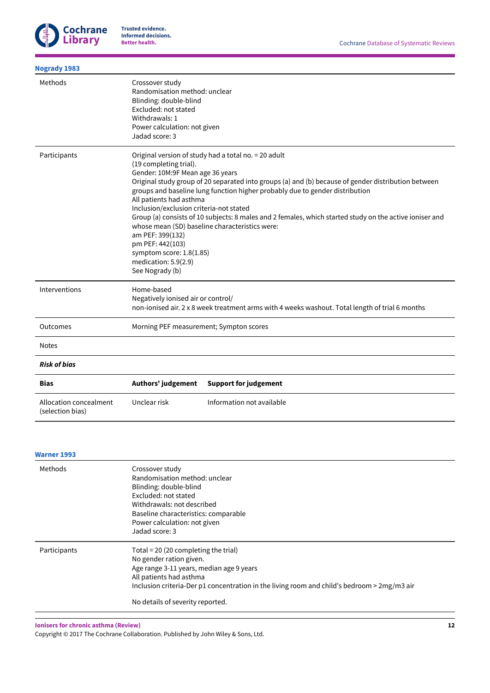

| <b>Nogrady 1983</b>                        |                                                                                                                                                                                                                                                 |                                                                                                                                                                                                                                                                                                                                                                                                          |
|--------------------------------------------|-------------------------------------------------------------------------------------------------------------------------------------------------------------------------------------------------------------------------------------------------|----------------------------------------------------------------------------------------------------------------------------------------------------------------------------------------------------------------------------------------------------------------------------------------------------------------------------------------------------------------------------------------------------------|
| Methods                                    | Crossover study<br>Randomisation method: unclear<br>Blinding: double-blind<br>Excluded: not stated<br>Withdrawals: 1<br>Power calculation: not given<br>Jadad score: 3                                                                          |                                                                                                                                                                                                                                                                                                                                                                                                          |
| Participants                               | (19 completing trial).<br>Gender: 10M:9F Mean age 36 years<br>All patients had asthma<br>Inclusion/exclusion criteria-not stated<br>am PEF: 399(132)<br>pm PEF: 442(103)<br>symptom score: 1.8(1.85)<br>medication: 5.9(2.9)<br>See Nogrady (b) | Original version of study had a total no. = 20 adult<br>Original study group of 20 separated into groups (a) and (b) because of gender distribution between<br>groups and baseline lung function higher probably due to gender distribution<br>Group (a) consists of 10 subjects: 8 males and 2 females, which started study on the active ioniser and<br>whose mean (SD) baseline characteristics were: |
| Interventions                              | Home-based<br>Negatively ionised air or control/                                                                                                                                                                                                | non-ionised air. 2 x 8 week treatment arms with 4 weeks washout. Total length of trial 6 months                                                                                                                                                                                                                                                                                                          |
| Outcomes                                   | Morning PEF measurement; Sympton scores                                                                                                                                                                                                         |                                                                                                                                                                                                                                                                                                                                                                                                          |
| <b>Notes</b>                               |                                                                                                                                                                                                                                                 |                                                                                                                                                                                                                                                                                                                                                                                                          |
| <b>Risk of bias</b>                        |                                                                                                                                                                                                                                                 |                                                                                                                                                                                                                                                                                                                                                                                                          |
| <b>Bias</b>                                | Authors' judgement                                                                                                                                                                                                                              | <b>Support for judgement</b>                                                                                                                                                                                                                                                                                                                                                                             |
| Allocation concealment<br>(selection bias) | Unclear risk                                                                                                                                                                                                                                    | Information not available                                                                                                                                                                                                                                                                                                                                                                                |

#### **Warner 1993**

| Methods      | Crossover study<br>Randomisation method: unclear<br>Blinding: double-blind<br>Excluded: not stated<br>Withdrawals: not described<br>Baseline characteristics: comparable<br>Power calculation: not given<br>Jadad score: 3                                                   |
|--------------|------------------------------------------------------------------------------------------------------------------------------------------------------------------------------------------------------------------------------------------------------------------------------|
| Participants | Total = $20(20$ completing the trial)<br>No gender ration given.<br>Age range 3-11 years, median age 9 years<br>All patients had asthma<br>Inclusion criteria-Der p1 concentration in the living room and child's bedroom $>$ 2mg/m3 air<br>No details of severity reported. |

**Ionisers for chronic asthma (Review)**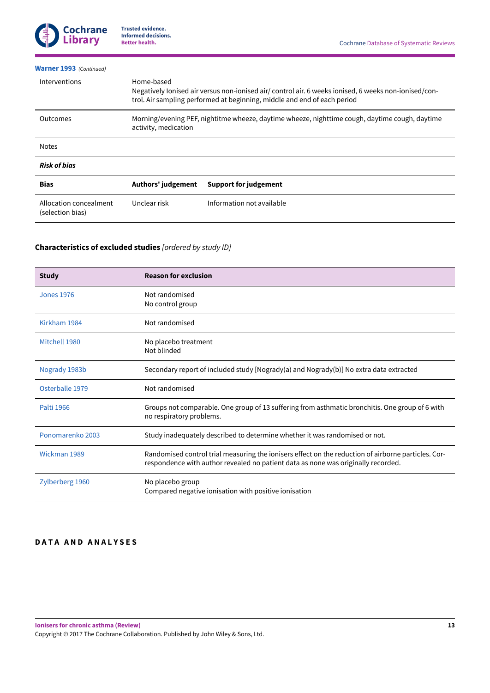

| <b>Warner 1993</b> (Continued)             |                           |                                                                                                                                                                                   |
|--------------------------------------------|---------------------------|-----------------------------------------------------------------------------------------------------------------------------------------------------------------------------------|
| Interventions                              | Home-based                | Negatively lonised air versus non-ionised air/ control air. 6 weeks ionised, 6 weeks non-ionised/con-<br>trol. Air sampling performed at beginning, middle and end of each period |
| Outcomes                                   | activity, medication      | Morning/evening PEF, nightitme wheeze, daytime wheeze, nighttime cough, daytime cough, daytime                                                                                    |
| <b>Notes</b>                               |                           |                                                                                                                                                                                   |
| <b>Risk of bias</b>                        |                           |                                                                                                                                                                                   |
| <b>Bias</b>                                | <b>Authors' judgement</b> | <b>Support for judgement</b>                                                                                                                                                      |
| Allocation concealment<br>(selection bias) | Unclear risk              | Information not available                                                                                                                                                         |

## **Characteristics of excluded studies** [ordered by study ID]

| <b>Study</b>      | <b>Reason for exclusion</b>                                                                                                                                                              |
|-------------------|------------------------------------------------------------------------------------------------------------------------------------------------------------------------------------------|
| <b>Jones 1976</b> | Not randomised<br>No control group                                                                                                                                                       |
| Kirkham 1984      | Not randomised                                                                                                                                                                           |
| Mitchell 1980     | No placebo treatment<br>Not blinded                                                                                                                                                      |
| Nogrady 1983b     | Secondary report of included study [Nogrady(a) and Nogrady(b)] No extra data extracted                                                                                                   |
| Osterballe 1979   | Not randomised                                                                                                                                                                           |
| Palti 1966        | Groups not comparable. One group of 13 suffering from asthmatic bronchitis. One group of 6 with<br>no respiratory problems.                                                              |
| Ponomarenko 2003  | Study inadequately described to determine whether it was randomised or not.                                                                                                              |
| Wickman 1989      | Randomised control trial measuring the ionisers effect on the reduction of airborne particles. Cor-<br>respondence with author revealed no patient data as none was originally recorded. |
| Zylberberg 1960   | No placebo group<br>Compared negative ionisation with positive ionisation                                                                                                                |

## **DATA AND ANALYSES**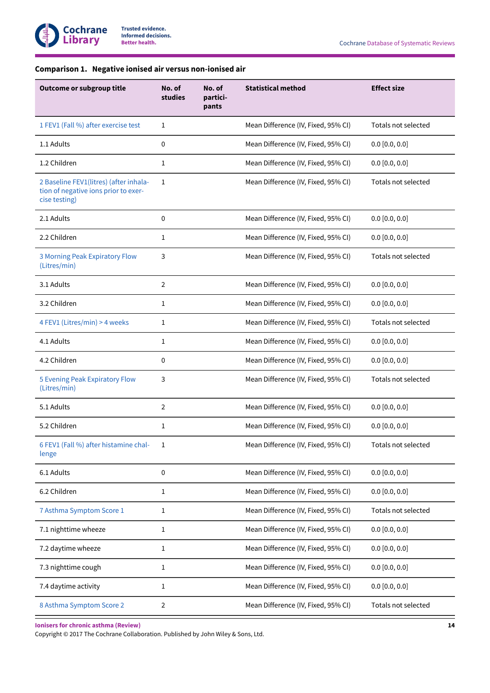## **Comparison 1. Negative ionised air versus non-ionised air**

| Outcome or subgroup title                                                                       | No. of<br>studies | No. of<br>partici-<br>pants | <b>Statistical method</b>           | <b>Effect size</b>  |
|-------------------------------------------------------------------------------------------------|-------------------|-----------------------------|-------------------------------------|---------------------|
| 1 FEV1 (Fall %) after exercise test                                                             | 1                 |                             | Mean Difference (IV, Fixed, 95% CI) | Totals not selected |
| 1.1 Adults                                                                                      | 0                 |                             | Mean Difference (IV, Fixed, 95% CI) | $0.0$ [0.0, 0.0]    |
| 1.2 Children                                                                                    | 1                 |                             | Mean Difference (IV, Fixed, 95% CI) | 0.0 [0.0, 0.0]      |
| 2 Baseline FEV1(litres) (after inhala-<br>tion of negative ions prior to exer-<br>cise testing) | 1                 |                             | Mean Difference (IV, Fixed, 95% CI) | Totals not selected |
| 2.1 Adults                                                                                      | $\mathbf 0$       |                             | Mean Difference (IV, Fixed, 95% CI) | $0.0$ [0.0, 0.0]    |
| 2.2 Children                                                                                    | 1                 |                             | Mean Difference (IV, Fixed, 95% CI) | $0.0$ [0.0, 0.0]    |
| <b>3 Morning Peak Expiratory Flow</b><br>(Litres/min)                                           | 3                 |                             | Mean Difference (IV, Fixed, 95% CI) | Totals not selected |
| 3.1 Adults                                                                                      | 2                 |                             | Mean Difference (IV, Fixed, 95% CI) | $0.0$ [0.0, 0.0]    |
| 3.2 Children                                                                                    | 1                 |                             | Mean Difference (IV, Fixed, 95% CI) | 0.0 [0.0, 0.0]      |
| 4 FEV1 (Litres/min) > 4 weeks                                                                   | 1                 |                             | Mean Difference (IV, Fixed, 95% CI) | Totals not selected |
| 4.1 Adults                                                                                      | 1                 |                             | Mean Difference (IV, Fixed, 95% CI) | 0.0 [0.0, 0.0]      |
| 4.2 Children                                                                                    | $\mathbf 0$       |                             | Mean Difference (IV, Fixed, 95% CI) | 0.0 [0.0, 0.0]      |
| <b>5 Evening Peak Expiratory Flow</b><br>(Litres/min)                                           | 3                 |                             | Mean Difference (IV, Fixed, 95% CI) | Totals not selected |
| 5.1 Adults                                                                                      | 2                 |                             | Mean Difference (IV, Fixed, 95% CI) | $0.0$ [0.0, 0.0]    |
| 5.2 Children                                                                                    | 1                 |                             | Mean Difference (IV, Fixed, 95% CI) | 0.0 [0.0, 0.0]      |
| 6 FEV1 (Fall %) after histamine chal-<br>lenge                                                  | 1                 |                             | Mean Difference (IV, Fixed, 95% CI) | Totals not selected |
| 6.1 Adults                                                                                      | $\pmb{0}$         |                             | Mean Difference (IV, Fixed, 95% CI) | 0.0 [0.0, 0.0]      |
| 6.2 Children                                                                                    | $\mathbf{1}$      |                             | Mean Difference (IV, Fixed, 95% CI) | 0.0 [0.0, 0.0]      |
| 7 Asthma Symptom Score 1                                                                        | $\mathbf 1$       |                             | Mean Difference (IV, Fixed, 95% CI) | Totals not selected |
| 7.1 nighttime wheeze                                                                            | 1                 |                             | Mean Difference (IV, Fixed, 95% CI) | 0.0 [0.0, 0.0]      |
| 7.2 daytime wheeze                                                                              | 1                 |                             | Mean Difference (IV, Fixed, 95% CI) | $0.0$ [0.0, 0.0]    |
| 7.3 nighttime cough                                                                             | 1                 |                             | Mean Difference (IV, Fixed, 95% CI) | $0.0$ [0.0, 0.0]    |
| 7.4 daytime activity                                                                            | $\mathbf{1}$      |                             | Mean Difference (IV, Fixed, 95% CI) | 0.0 [0.0, 0.0]      |
| 8 Asthma Symptom Score 2                                                                        | 2                 |                             | Mean Difference (IV, Fixed, 95% CI) | Totals not selected |

**Ionisers for chronic asthma (Review)**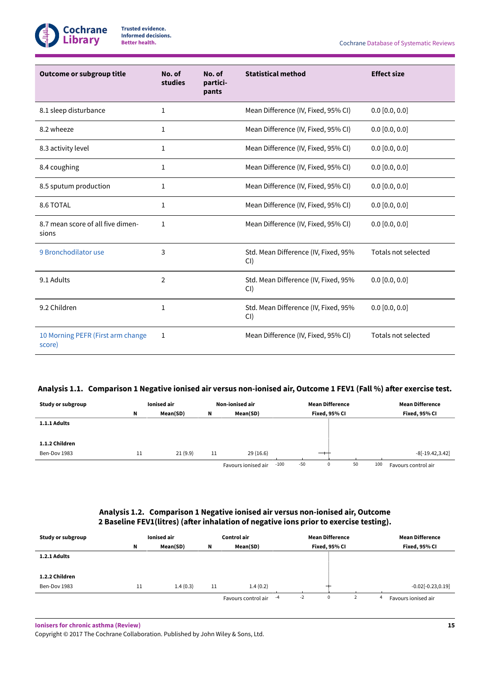

| <b>Outcome or subgroup title</b>            | No. of<br>studies | No. of<br>partici-<br>pants | <b>Statistical method</b>                   | <b>Effect size</b>  |
|---------------------------------------------|-------------------|-----------------------------|---------------------------------------------|---------------------|
| 8.1 sleep disturbance                       | 1                 |                             | Mean Difference (IV, Fixed, 95% CI)         | $0.0$ [0.0, 0.0]    |
| 8.2 wheeze                                  | $\mathbf 1$       |                             | Mean Difference (IV, Fixed, 95% CI)         | $0.0$ [0.0, 0.0]    |
| 8.3 activity level                          | 1                 |                             | Mean Difference (IV, Fixed, 95% CI)         | $0.0$ [0.0, 0.0]    |
| 8.4 coughing                                | 1                 |                             | Mean Difference (IV, Fixed, 95% CI)         | $0.0$ [0.0, 0.0]    |
| 8.5 sputum production                       | 1                 |                             | Mean Difference (IV, Fixed, 95% CI)         | $0.0$ [0.0, 0.0]    |
| 8.6 TOTAL                                   | 1                 |                             | Mean Difference (IV, Fixed, 95% CI)         | $0.0$ [0.0, 0.0]    |
| 8.7 mean score of all five dimen-<br>sions  | 1                 |                             | Mean Difference (IV, Fixed, 95% CI)         | $0.0$ [0.0, 0.0]    |
| 9 Bronchodilator use                        | 3                 |                             | Std. Mean Difference (IV, Fixed, 95%<br>CI) | Totals not selected |
| 9.1 Adults                                  | $\overline{2}$    |                             | Std. Mean Difference (IV, Fixed, 95%<br>CI) | $0.0$ [0.0, 0.0]    |
| 9.2 Children                                | 1                 |                             | Std. Mean Difference (IV, Fixed, 95%<br>CI  | $0.0$ [0.0, 0.0]    |
| 10 Morning PEFR (First arm change<br>score) | 1                 |                             | Mean Difference (IV, Fixed, 95% CI)         | Totals not selected |

## Analysis 1.1. Comparison 1 Negative ionised air versus non-ionised air, Outcome 1 FEV1 (Fall %) after exercise test.

| Study or subgroup | Ionised air |          | Non-ionised air |                     |        | <b>Mean Difference</b> |               |    |     | <b>Mean Difference</b> |
|-------------------|-------------|----------|-----------------|---------------------|--------|------------------------|---------------|----|-----|------------------------|
|                   | N           | Mean(SD) | N               | Mean(SD)            |        |                        | Fixed, 95% CI |    |     | Fixed, 95% CI          |
| 1.1.1 Adults      |             |          |                 |                     |        |                        |               |    |     |                        |
|                   |             |          |                 |                     |        |                        |               |    |     |                        |
| 1.1.2 Children    |             |          |                 |                     |        |                        |               |    |     |                        |
| Ben-Dov 1983      | 11          | 21(9.9)  | 11              | 29(16.6)            |        |                        | —             |    |     | $-8[-19.42, 3.42]$     |
|                   |             |          |                 | Favours ionised air | $-100$ | $-50$                  | 0             | 50 | 100 | Favours control air    |

## **Analysis 1.2. Comparison 1 Negative ionised air versus non-ionised air, Outcome 2 Baseline FEV1(litres) (aꢁer inhalation of negative ions prior to exercise testing).**

| Study or subgroup | Ionised air |          | Control air |                     |            | <b>Mean Difference</b> |  |   | <b>Mean Difference</b> |
|-------------------|-------------|----------|-------------|---------------------|------------|------------------------|--|---|------------------------|
|                   | N           | Mean(SD) | N           | Mean(SD)            |            | Fixed, 95% CI          |  |   | Fixed, 95% CI          |
| 1.2.1 Adults      |             |          |             |                     |            |                        |  |   |                        |
|                   |             |          |             |                     |            |                        |  |   |                        |
| 1.2.2 Children    |             |          |             |                     |            |                        |  |   |                        |
| Ben-Dov 1983      | 11          | 1.4(0.3) | 11          | 1.4(0.2)            |            |                        |  |   | $-0.02[-0.23, 0.19]$   |
|                   |             |          |             | Favours control air | $-2$<br>-4 | 0                      |  | 4 | Favours ionised air    |

**Ionisers for chronic asthma (Review)**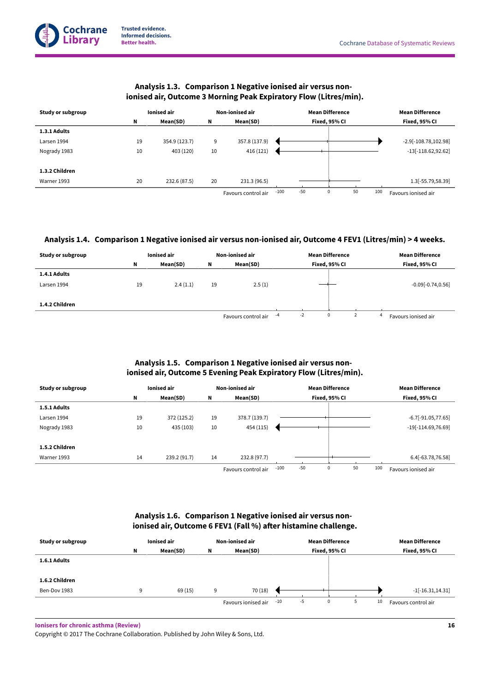**1.3.1 Adults**

**1.3.2 Children**



Nogrady 1983 10 10 403 (120) 10 416 (121) 10 416 (121) 10 416 (121) 11 4 16 (121) 113.62,92.62]

# **Analysis 1.3. Comparison 1 Negative ionised air versus non-**

Warner 1993 20 232.6 (87.5) 20 231.3 (96.5) 1.3[-55.79,58.39] Favours control air -100 -50 0 50 100 Favours ionised air

## Analysis 1.4. Comparison 1 Negative ionised air versus non-ionised air, Outcome 4 FEV1 (Litres/min) > 4 weeks.

| Study or subgroup |    | Ionised air |    | <b>Non-ionised air</b> |    | <b>Mean Difference</b> |               |  |   | <b>Mean Difference</b> |
|-------------------|----|-------------|----|------------------------|----|------------------------|---------------|--|---|------------------------|
|                   | N  | Mean(SD)    | N  | Mean(SD)               |    |                        | Fixed, 95% CI |  |   | Fixed, 95% CI          |
| 1.4.1 Adults      |    |             |    |                        |    |                        |               |  |   |                        |
| Larsen 1994       | 19 | 2.4(1.1)    | 19 | 2.5(1)                 |    |                        |               |  |   | $-0.09[-0.74, 0.56]$   |
|                   |    |             |    |                        |    |                        |               |  |   |                        |
| 1.4.2 Children    |    |             |    |                        |    |                        |               |  |   |                        |
|                   |    |             |    | Favours control air    | -4 | $-2$                   | 0             |  | 4 | Favours ionised air    |

## **Analysis 1.5. Comparison 1 Negative ionised air versus nonionised air, Outcome 5 Evening Peak Expiratory Flow (Litres/min).**

| Study or subgroup | <b>Ionised air</b> |              | <b>Non-ionised air</b> |                     | <b>Mean Difference</b> |                      |           | <b>Mean Difference</b> |
|-------------------|--------------------|--------------|------------------------|---------------------|------------------------|----------------------|-----------|------------------------|
|                   | N                  | Mean(SD)     | N                      | Mean(SD)            |                        | Fixed, 95% CI        |           | Fixed, 95% CI          |
| 1.5.1 Adults      |                    |              |                        |                     |                        |                      |           |                        |
| Larsen 1994       | 19                 | 372 (125.2)  | 19                     | 378.7 (139.7)       |                        |                      |           | $-6.7[-91.05, 77.65]$  |
| Nogrady 1983      | 10                 | 435 (103)    | 10                     | 454 (115)           |                        |                      |           | $-19[-114.69, 76.69]$  |
|                   |                    |              |                        |                     |                        |                      |           |                        |
| 1.5.2 Children    |                    |              |                        |                     |                        |                      |           |                        |
| Warner 1993       | 14                 | 239.2 (91.7) | 14                     | 232.8 (97.7)        |                        |                      |           | 6.4[-63.78,76.58]      |
|                   |                    |              |                        | Favours control air | $-100$                 | $-50$<br>$\mathbf 0$ | 50<br>100 | Favours ionised air    |

## **Analysis 1.6. Comparison 1 Negative ionised air versus nonionised air, Outcome 6 FEV1 (Fall %) aꢁer histamine challenge.**

| Study or subgroup | Ionised air |          | Non-ionised air |                     |       | <b>Mean Difference</b> |               |  | <b>Mean Difference</b> |                     |
|-------------------|-------------|----------|-----------------|---------------------|-------|------------------------|---------------|--|------------------------|---------------------|
|                   | N           | Mean(SD) | N               | Mean(SD)            |       |                        | Fixed, 95% CI |  |                        | Fixed, 95% CI       |
| 1.6.1 Adults      |             |          |                 |                     |       |                        |               |  |                        |                     |
|                   |             |          |                 |                     |       |                        |               |  |                        |                     |
| 1.6.2 Children    |             |          |                 |                     |       |                        |               |  |                        |                     |
| Ben-Dov 1983      | 9           | 69(15)   | 9               | 70 (18)             |       |                        |               |  |                        | $-1[-16.31, 14.31]$ |
|                   |             |          |                 | Favours ionised air | $-10$ | $-5$                   | 0             |  | 10                     | Favours control air |

**Ionisers for chronic asthma (Review)**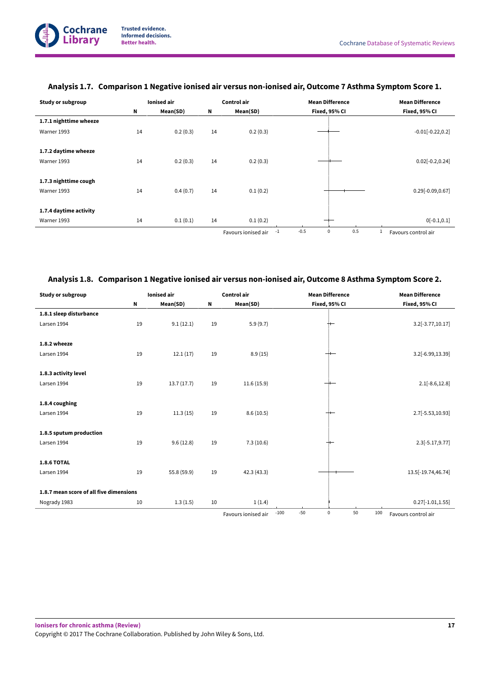| <b>Study or subgroup</b> | <b>Ionised</b> air |          | Control air |                     | <b>Mean Difference</b>               | <b>Mean Difference</b> |
|--------------------------|--------------------|----------|-------------|---------------------|--------------------------------------|------------------------|
|                          | N                  | Mean(SD) | Ν           | Mean(SD)            | Fixed, 95% CI                        | Fixed, 95% CI          |
| 1.7.1 nighttime wheeze   |                    |          |             |                     |                                      |                        |
| Warner 1993              | 14                 | 0.2(0.3) | 14          | 0.2(0.3)            |                                      | $-0.01[-0.22, 0.2]$    |
|                          |                    |          |             |                     |                                      |                        |
| 1.7.2 daytime wheeze     |                    |          |             |                     |                                      |                        |
| Warner 1993              | 14                 | 0.2(0.3) | 14          | 0.2(0.3)            |                                      | $0.02[-0.2, 0.24]$     |
|                          |                    |          |             |                     |                                      |                        |
| 1.7.3 nighttime cough    |                    |          |             |                     |                                      |                        |
| Warner 1993              | 14                 | 0.4(0.7) | 14          | 0.1(0.2)            |                                      | $0.29[-0.09, 0.67]$    |
|                          |                    |          |             |                     |                                      |                        |
| 1.7.4 daytime activity   |                    |          |             |                     |                                      |                        |
| Warner 1993              | 14                 | 0.1(0.1) | 14          | 0.1(0.2)            |                                      | $0[-0.1, 0.1]$         |
|                          |                    |          |             | Favours ionised air | $-0.5$<br>0.5<br>$\mathbf 0$<br>$-1$ | Favours control air    |

## **Analysis 1.7. Comparison 1 Negative ionised air versus non-ionised air, Outcome 7 AsthmaSymptom Score 1.**

## **Analysis 1.8. Comparison 1 Negative ionised air versus non-ionised air, Outcome 8 AsthmaSymptom Score 2.**

| <b>Study or subgroup</b>                |    | <b>Ionised</b> air |    | <b>Control air</b>  |                 | <b>Mean Difference</b> | <b>Mean Difference</b>           |
|-----------------------------------------|----|--------------------|----|---------------------|-----------------|------------------------|----------------------------------|
|                                         | N  | Mean(SD)           | N  | Mean(SD)            |                 | Fixed, 95% CI          | Fixed, 95% CI                    |
| 1.8.1 sleep disturbance                 |    |                    |    |                     |                 |                        |                                  |
| Larsen 1994                             | 19 | 9.1(12.1)          | 19 | 5.9(9.7)            |                 |                        | 3.2[-3.77,10.17]                 |
| 1.8.2 wheeze                            |    |                    |    |                     |                 |                        |                                  |
| Larsen 1994                             | 19 | 12.1(17)           | 19 | 8.9(15)             |                 |                        | 3.2[-6.99,13.39]                 |
| 1.8.3 activity level                    |    |                    |    |                     |                 |                        |                                  |
| Larsen 1994                             | 19 | 13.7(17.7)         | 19 | 11.6(15.9)          |                 |                        | $2.1[-8.6, 12.8]$                |
| 1.8.4 coughing                          |    |                    |    |                     |                 |                        |                                  |
| Larsen 1994                             | 19 | 11.3(15)           | 19 | 8.6(10.5)           |                 |                        | 2.7[-5.53,10.93]                 |
| 1.8.5 sputum production                 |    |                    |    |                     |                 |                        |                                  |
| Larsen 1994                             | 19 | 9.6(12.8)          | 19 | 7.3(10.6)           |                 |                        | $2.3[-5.17, 9.77]$               |
| <b>1.8.6 TOTAL</b>                      |    |                    |    |                     |                 |                        |                                  |
| Larsen 1994                             | 19 | 55.8 (59.9)        | 19 | 42.3(43.3)          |                 |                        | 13.5[-19.74,46.74]               |
| 1.8.7 mean score of all five dimensions |    |                    |    |                     |                 |                        |                                  |
| Nogrady 1983                            | 10 | 1.3(1.5)           | 10 | 1(1.4)              |                 |                        | $0.27[-1.01, 1.55]$              |
|                                         |    |                    |    | Favours ionised air | $-50$<br>$-100$ | 0                      | 50<br>100<br>Favours control air |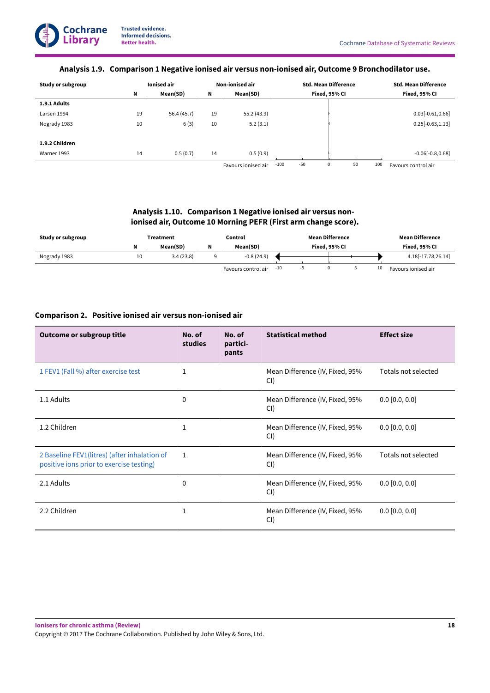## **Analysis 1.9. Comparison 1 Negative ionised air versus non-ionised air, Outcome 9 Bronchodilator use.**

| Study or subgroup |    | Ionised air |    | Non-ionised air     |        | <b>Std. Mean Difference</b> |               |    |     | <b>Std. Mean Difference</b> |
|-------------------|----|-------------|----|---------------------|--------|-----------------------------|---------------|----|-----|-----------------------------|
|                   | N  | Mean(SD)    | N  | Mean(SD)            |        |                             | Fixed, 95% CI |    |     | Fixed, 95% CI               |
| 1.9.1 Adults      |    |             |    |                     |        |                             |               |    |     |                             |
| Larsen 1994       | 19 | 56.4 (45.7) | 19 | 55.2 (43.9)         |        |                             |               |    |     | $0.03[-0.61, 0.66]$         |
| Nogrady 1983      | 10 | 6(3)        | 10 | 5.2(3.1)            |        |                             |               |    |     | $0.25[-0.63, 1.13]$         |
| 1.9.2 Children    |    |             |    |                     |        |                             |               |    |     |                             |
| Warner 1993       | 14 |             |    |                     |        |                             |               |    |     |                             |
|                   |    | 0.5(0.7)    | 14 | 0.5(0.9)            |        |                             |               |    |     | $-0.06[-0.8, 0.68]$         |
|                   |    |             |    | Favours ionised air | $-100$ | $-50$                       | 0             | 50 | 100 | Favours control air         |

## **Analysis 1.10. Comparison 1 Negative ionised air versus nonionised air, Outcome 10 Morning PEFR (First arm change score).**

| Study or subgroup | Treatment |           | Control |                     | <b>Mean Difference</b> |  |  |  |               | <b>Mean Difference</b> |
|-------------------|-----------|-----------|---------|---------------------|------------------------|--|--|--|---------------|------------------------|
|                   |           | Mean(SD)  |         | Mean(SD)            | Fixed. 95% CI          |  |  |  | Fixed. 95% CI |                        |
| Nogrady 1983      | 10        | 3.4(23.8) |         | $-0.8(24.9)$        |                        |  |  |  |               | 4.18[-17.78,26.14]     |
|                   |           |           |         | Favours control air | -10                    |  |  |  | 10            | Favours ionised air    |

## **Comparison 2. Positive ionised air versus non-ionised air**

| Outcome or subgroup title                                                                | No. of<br>studies | No. of<br>partici-<br>pants | <b>Statistical method</b>              | <b>Effect size</b>  |
|------------------------------------------------------------------------------------------|-------------------|-----------------------------|----------------------------------------|---------------------|
| 1 FEV1 (Fall %) after exercise test                                                      |                   |                             | Mean Difference (IV, Fixed, 95%<br>CI) | Totals not selected |
| 1.1 Adults                                                                               | 0                 |                             | Mean Difference (IV, Fixed, 95%<br>CI) | $0.0$ [0.0, 0.0]    |
| 1.2 Children                                                                             | 1                 |                             | Mean Difference (IV, Fixed, 95%<br>CI) | $0.0$ [0.0, 0.0]    |
| 2 Baseline FEV1(litres) (after inhalation of<br>positive ions prior to exercise testing) | $\mathbf{1}$      |                             | Mean Difference (IV, Fixed, 95%<br>CI) | Totals not selected |
| 2.1 Adults                                                                               | 0                 |                             | Mean Difference (IV, Fixed, 95%<br>CI) | $0.0$ [0.0, 0.0]    |
| 2.2 Children                                                                             | 1                 |                             | Mean Difference (IV, Fixed, 95%<br>CI) | $0.0$ [0.0, 0.0]    |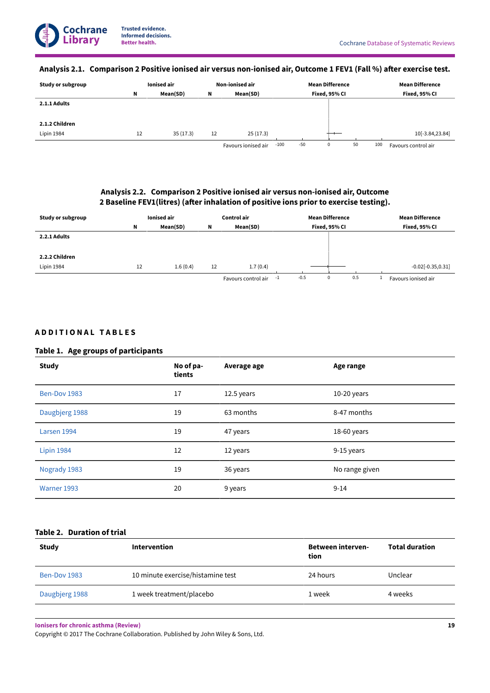## Analysis 2.1. Comparison 2 Positive ionised air versus non-ionised air, Outcome 1 FEV1 (Fall %) after exercise test.

| Study or subgroup | <b>Ionised air</b> |          | Non-ionised air |                     |        | <b>Mean Difference</b> |               |    |     | <b>Mean Difference</b> |
|-------------------|--------------------|----------|-----------------|---------------------|--------|------------------------|---------------|----|-----|------------------------|
|                   | N                  | Mean(SD) | Ν               | Mean(SD)            |        |                        | Fixed, 95% CI |    |     | Fixed, 95% CI          |
| 2.1.1 Adults      |                    |          |                 |                     |        |                        |               |    |     |                        |
|                   |                    |          |                 |                     |        |                        |               |    |     |                        |
| 2.1.2 Children    |                    |          |                 |                     |        |                        |               |    |     |                        |
| Lipin 1984        | 12                 | 35(17.3) | 12              | 25(17.3)            |        |                        |               |    |     | 10[-3.84,23.84]        |
|                   |                    |          |                 | Favours ionised air | $-100$ | $-50$                  | 0             | 50 | 100 | Favours control air    |

## **Analysis 2.2. Comparison 2 Positive ionised air versus non-ionised air, Outcome 2 Baseline FEV1(litres) (aꢁer inhalation of positive ions prior to exercise testing).**

| Study or subgroup | <b>lonised air</b> |          | Control air |                            | <b>Mean Difference</b> | <b>Mean Difference</b> |
|-------------------|--------------------|----------|-------------|----------------------------|------------------------|------------------------|
|                   | N                  | Mean(SD) | N           | Mean(SD)                   | Fixed, 95% CI          | Fixed, 95% CI          |
| 2.2.1 Adults      |                    |          |             |                            |                        |                        |
|                   |                    |          |             |                            |                        |                        |
| 2.2.2 Children    |                    |          |             |                            |                        |                        |
| Lipin 1984        | 12                 | 1.6(0.4) | 12          | 1.7(0.4)                   |                        | $-0.02[-0.35, 0.31]$   |
|                   |                    |          |             | Favours control air<br>÷1. | $-0.5$<br>0<br>0.5     | Favours ionised air    |

## **A D D I T I O N A L ꢀ T A B L E S**

## **Table 1. Age groups of participants**

| <b>Study</b>      | No of pa-<br>tients | Average age | Age range      |
|-------------------|---------------------|-------------|----------------|
| Ben-Dov 1983      | 17                  | 12.5 years  | $10-20$ years  |
| Daugbjerg 1988    | 19                  | 63 months   | 8-47 months    |
| Larsen 1994       | 19                  | 47 years    | 18-60 years    |
| <b>Lipin 1984</b> | 12                  | 12 years    | 9-15 years     |
| Nogrady 1983      | 19                  | 36 years    | No range given |
| Warner 1993       | 20                  | 9 years     | $9 - 14$       |

## **Table 2. Duration of trial**

| <b>Study</b>   | Intervention                      | <b>Between interven-</b><br>tion | <b>Total duration</b> |
|----------------|-----------------------------------|----------------------------------|-----------------------|
| Ben-Dov 1983   | 10 minute exercise/histamine test | 24 hours                         | Unclear               |
| Daugbjerg 1988 | 1 week treatment/placebo          | 1 week                           | 4 weeks               |

**Ionisers for chronic asthma (Review)**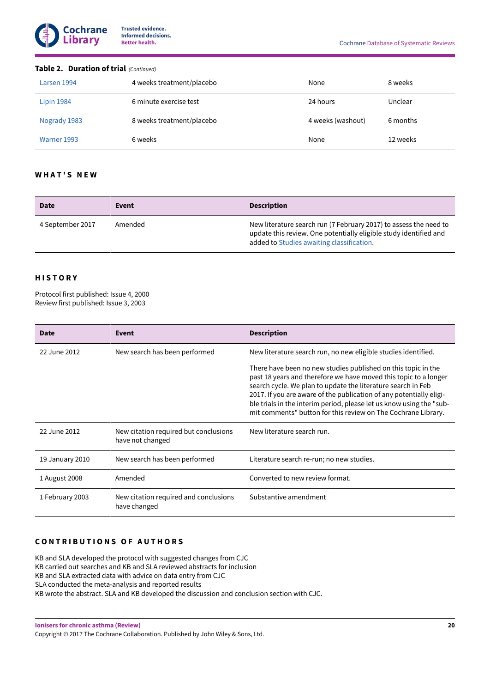

#### **Table 2. Duration of trial** (Continued)

| Larsen 1994       | 4 weeks treatment/placebo | None              | 8 weeks  |
|-------------------|---------------------------|-------------------|----------|
| <b>Lipin 1984</b> | 6 minute exercise test    | 24 hours          | Unclear  |
| Nogrady 1983      | 8 weeks treatment/placebo | 4 weeks (washout) | 6 months |
| Warner 1993       | 6 weeks                   | None              | 12 weeks |

## **W H A T ' S ꢀ N E W**

| <b>Date</b>      | Event   | <b>Description</b>                                                                                                                                                                  |
|------------------|---------|-------------------------------------------------------------------------------------------------------------------------------------------------------------------------------------|
| 4 September 2017 | Amended | New literature search run (7 February 2017) to assess the need to<br>update this review. One potentially eligible study identified and<br>added to Studies awaiting classification. |

## **H I S T O R Y**

Protocol first published: Issue 4, 2000 Review first published: Issue 3, 2003

| Date            | Event                                                     | <b>Description</b>                                                                                                                                                                                                                                                                                                                                                                                                |
|-----------------|-----------------------------------------------------------|-------------------------------------------------------------------------------------------------------------------------------------------------------------------------------------------------------------------------------------------------------------------------------------------------------------------------------------------------------------------------------------------------------------------|
| 22 June 2012    | New search has been performed                             | New literature search run, no new eligible studies identified.                                                                                                                                                                                                                                                                                                                                                    |
|                 |                                                           | There have been no new studies published on this topic in the<br>past 18 years and therefore we have moved this topic to a longer<br>search cycle. We plan to update the literature search in Feb<br>2017. If you are aware of the publication of any potentially eligi-<br>ble trials in the interim period, please let us know using the "sub-<br>mit comments" button for this review on The Cochrane Library. |
| 22 June 2012    | New citation required but conclusions<br>have not changed | New literature search run.                                                                                                                                                                                                                                                                                                                                                                                        |
| 19 January 2010 | New search has been performed                             | Literature search re-run; no new studies.                                                                                                                                                                                                                                                                                                                                                                         |
| 1 August 2008   | Amended                                                   | Converted to new review format.                                                                                                                                                                                                                                                                                                                                                                                   |
| 1 February 2003 | New citation required and conclusions<br>have changed     | Substantive amendment                                                                                                                                                                                                                                                                                                                                                                                             |

## **CONTRIBUTIONS OF AUTHORS**

KB and SLA developed the protocol with suggested changes from CJC KB carried out searches and KB and SLA reviewed abstracts for inclusion KB and SLA extracted data with advice on data entry from CJC SLA conducted the meta-analysis and reported results KB wrote the abstract. SLA and KB developed the discussion and conclusion section with CJC.